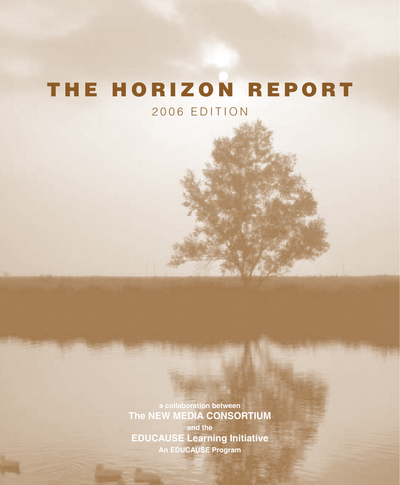# THE HORIZON REPORT

2006 EDITION

**a collaboration between The NEW MEDIA CONSORTIUM and the EDUCAUSE Learning Initiative An EDUCAUSE Program**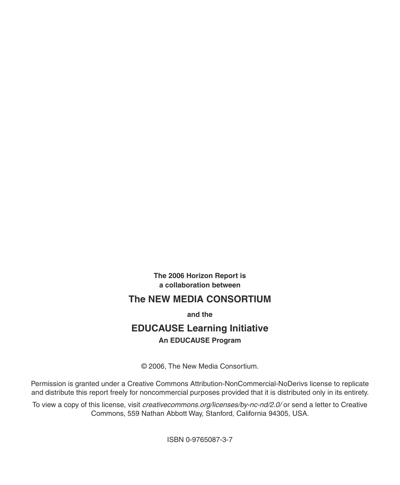**The 2006 Horizon Report is a collaboration between**

## **The NEW MEDIA CONSORTIUM**

**and the**

## **EDUCAUSE Learning Initiative An EDUCAUSE Program**

© 2006, The New Media Consortium.

Permission is granted under a Creative Commons Attribution-NonCommercial-NoDerivs license to replicate and distribute this report freely for noncommercial purposes provided that it is distributed only in its entirety.

To view a copy of this license, visit *[creativecommons.org/licenses/by-nc-nd/2.0/](http://creativecommons.org/licenses/by-nc-nd/2.0/)* or send a letter to Creative Commons, 559 Nathan Abbott Way, Stanford, California 94305, USA.

ISBN 0-9765087-3-7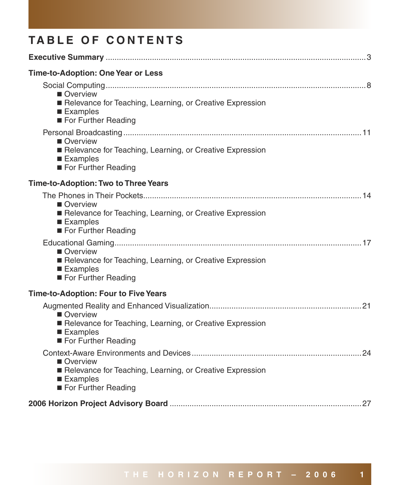## **TABLE OF CONTENTS**

| Time-to-Adoption: One Year or Less                                                                        |
|-----------------------------------------------------------------------------------------------------------|
| Overview<br>Relevance for Teaching, Learning, or Creative Expression<br>■ Examples<br>For Further Reading |
| Overview<br>Relevance for Teaching, Learning, or Creative Expression<br>■ Examples<br>For Further Reading |
| Time-to-Adoption: Two to Three Years                                                                      |
| Overview<br>Relevance for Teaching, Learning, or Creative Expression<br>■ Examples<br>For Further Reading |
| Overview<br>Relevance for Teaching, Learning, or Creative Expression<br>■ Examples<br>For Further Reading |
| Time-to-Adoption: Four to Five Years                                                                      |
| Overview<br>Relevance for Teaching, Learning, or Creative Expression<br>■ Examples<br>For Further Reading |
| Overview<br>Relevance for Teaching, Learning, or Creative Expression<br>■ Examples<br>For Further Reading |
|                                                                                                           |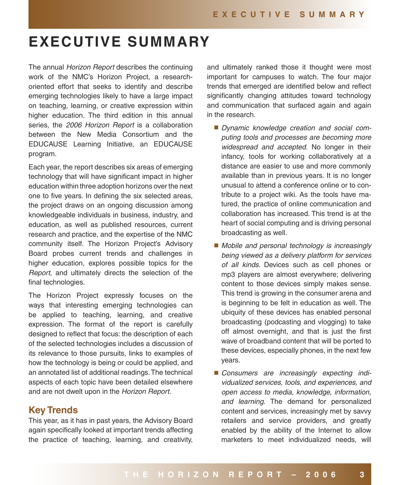## **EXECUTIVE SUMMARY**

The annual Horizon Report describes the continuing work of the NMC's Horizon Project, a researchoriented effort that seeks to identify and describe emerging technologies likely to have a large impact on teaching, learning, or creative expression within higher education. The third edition in this annual series, the 2006 Horizon Report is a collaboration between the New Media Consortium and the EDUCAUSE Learning Initiative, an EDUCAUSE program.

Each year, the report describes six areas of emerging technology that will have significant impact in higher education within three adoption horizons over the next one to five years. In defining the six selected areas, the project draws on an ongoing discussion among knowledgeable individuals in business, industry, and education, as well as published resources, current research and practice, and the expertise of the NMC community itself. The Horizon Project's Advisory Board probes current trends and challenges in higher education, explores possible topics for the Report, and ultimately directs the selection of the final technologies.

The Horizon Project expressly focuses on the ways that interesting emerging technologies can be applied to teaching, learning, and creative expression. The format of the report is carefully designed to reflect that focus: the description of each of the selected technologies includes a discussion of its relevance to those pursuits, links to examples of how the technology is being or could be applied, and an annotated list of additional readings. The technical aspects of each topic have been detailed elsewhere and are not dwelt upon in the Horizon Report.

## **Key Trends**

This year, as it has in past years, the Advisory Board again specifically looked at important trends affecting the practice of teaching, learning, and creativity,

and ultimately ranked those it thought were most important for campuses to watch. The four major trends that emerged are identified below and reflect significantly changing attitudes toward technology and communication that surfaced again and again in the research.

- **Dynamic knowledge creation and social com**puting tools and processes are becoming more widespread and accepted. No longer in their infancy, tools for working collaboratively at a distance are easier to use and more commonly available than in previous years. It is no longer unusual to attend a conference online or to contribute to a project wiki. As the tools have matured, the practice of online communication and collaboration has increased. This trend is at the heart of social computing and is driving personal broadcasting as well.
- Mobile and personal technology is increasingly being viewed as a delivery platform for services of all kinds. Devices such as cell phones or mp3 players are almost everywhere; delivering content to those devices simply makes sense. This trend is growing in the consumer arena and is beginning to be felt in education as well. The ubiquity of these devices has enabled personal broadcasting (podcasting and vlogging) to take off almost overnight, and that is just the first wave of broadband content that will be ported to these devices, especially phones, in the next few years.
- Consumers are increasingly expecting individualized services, tools, and experiences, and open access to media, knowledge, information, and learning. The demand for personalized content and services, increasingly met by savvy retailers and service providers, and greatly enabled by the ability of the Internet to allow marketers to meet individualized needs, will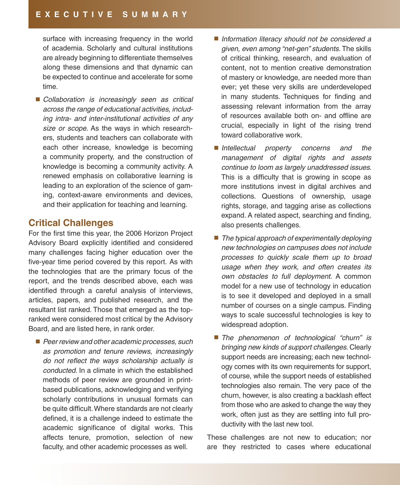surface with increasing frequency in the world of academia. Scholarly and cultural institutions are already beginning to differentiate themselves along these dimensions and that dynamic can be expected to continue and accelerate for some time.

■ Collaboration is increasingly seen as critical across the range of educational activities, including intra- and inter-institutional activities of any size or scope. As the ways in which researchers, students and teachers can collaborate with each other increase, knowledge is becoming a community property, and the construction of knowledge is becoming a community activity. A renewed emphasis on collaborative learning is leading to an exploration of the science of gaming, context-aware environments and devices, and their application for teaching and learning.

## **Critical Challenges**

For the first time this year, the 2006 Horizon Project Advisory Board explicitly identified and considered many challenges facing higher education over the five-year time period covered by this report. As with the technologies that are the primary focus of the report, and the trends described above, each was identified through a careful analysis of interviews, articles, papers, and published research, and the resultant list ranked. Those that emerged as the topranked were considered most critical by the Advisory Board, and are listed here, in rank order.

**Peer review and other academic processes, such** as promotion and tenure reviews, increasingly do not reflect the ways scholarship actually is conducted. In a climate in which the established methods of peer review are grounded in printbased publications, acknowledging and verifying scholarly contributions in unusual formats can be quite difficult. Where standards are not clearly defined, it is a challenge indeed to estimate the academic significance of digital works. This affects tenure, promotion, selection of new faculty, and other academic processes as well.

- $\blacksquare$  Information literacy should not be considered a given, even among "net-gen" students. The skills of critical thinking, research, and evaluation of content, not to mention creative demonstration of mastery or knowledge, are needed more than ever; yet these very skills are underdeveloped in many students. Techniques for finding and assessing relevant information from the array of resources available both on- and offline are crucial, especially in light of the rising trend toward collaborative work.
- Intellectual property concerns and the management of digital rights and assets continue to loom as largely unaddressed issues. This is a difficulty that is growing in scope as more institutions invest in digital archives and collections. Questions of ownership, usage rights, storage, and tagging arise as collections expand. A related aspect, searching and finding, also presents challenges.
- $\blacksquare$  The typical approach of experimentally deploying new technologies on campuses does not include processes to quickly scale them up to broad usage when they work, and often creates its own obstacles to full deployment. A common model for a new use of technology in education is to see it developed and deployed in a small number of courses on a single campus. Finding ways to scale successful technologies is key to widespread adoption.
- The phenomenon of technological "churn" is bringing new kinds of support challenges. Clearly support needs are increasing; each new technology comes with its own requirements for support, of course, while the support needs of established technologies also remain. The very pace of the churn, however, is also creating a backlash effect from those who are asked to change the way they work, often just as they are settling into full productivity with the last new tool.

These challenges are not new to education; nor are they restricted to cases where educational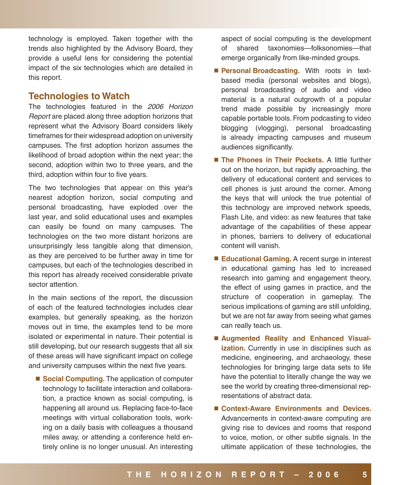technology is employed. Taken together with the trends also highlighted by the Advisory Board, they provide a useful lens for considering the potential impact of the six technologies which are detailed in this report.

### **Technologies to Watch**

The technologies featured in the 2006 Horizon Report are placed along three adoption horizons that represent what the Advisory Board considers likely timeframes for their widespread adoption on university campuses. The first adoption horizon assumes the likelihood of broad adoption within the next year; the second, adoption within two to three years, and the third, adoption within four to five years.

The two technologies that appear on this year's nearest adoption horizon, social computing and personal broadcasting, have exploded over the last year, and solid educational uses and examples can easily be found on many campuses. The technologies on the two more distant horizons are unsurprisingly less tangible along that dimension, as they are perceived to be further away in time for campuses, but each of the technologies described in this report has already received considerable private sector attention.

In the main sections of the report, the discussion of each of the featured technologies includes clear examples, but generally speaking, as the horizon moves out in time, the examples tend to be more isolated or experimental in nature. Their potential is still developing, but our research suggests that all six of these areas will have significant impact on college and university campuses within the next five years.

■ **Social Computing.** The application of computer technology to facilitate interaction and collaboration, a practice known as social computing, is happening all around us. Replacing face-to-face meetings with virtual collaboration tools, working on a daily basis with colleagues a thousand miles away, or attending a conference held entirely online is no longer unusual. An interesting

aspect of social computing is the development of shared taxonomies—folksonomies—that emerge organically from like-minded groups.

- **Personal Broadcasting.** With roots in textbased media (personal websites and blogs), personal broadcasting of audio and video material is a natural outgrowth of a popular trend made possible by increasingly more capable portable tools. From podcasting to video blogging (vlogging), personal broadcasting is already impacting campuses and museum audiences significantly.
- **The Phones in Their Pockets.** A little further out on the horizon, but rapidly approaching, the delivery of educational content and services to cell phones is just around the corner. Among the keys that will unlock the true potential of this technology are improved network speeds, Flash Lite, and video: as new features that take advantage of the capabilities of these appear in phones, barriers to delivery of educational content will vanish.
- **Educational Gaming.** A recent surge in interest in educational gaming has led to increased research into gaming and engagement theory, the effect of using games in practice, and the structure of cooperation in gameplay. The serious implications of gaming are still unfolding, but we are not far away from seeing what games can really teach us.
- **Augmented Reality and Enhanced Visualization.** Currently in use in disciplines such as medicine, engineering, and archaeology, these technologies for bringing large data sets to life have the potential to literally change the way we see the world by creating three-dimensional representations of abstract data.
- Context-Aware Environments and Devices. Advancements in context-aware computing are giving rise to devices and rooms that respond to voice, motion, or other subtle signals. In the ultimate application of these technologies, the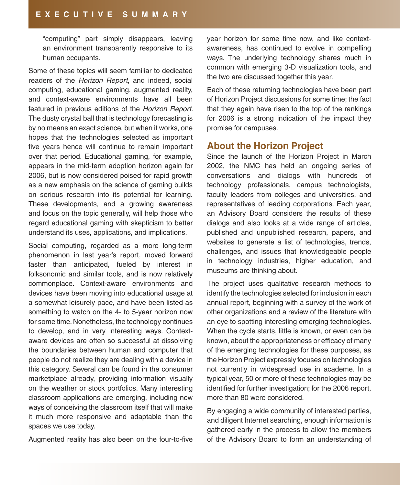"computing" part simply disappears, leaving an environment transparently responsive to its human occupants.

Some of these topics will seem familiar to dedicated readers of the Horizon Report, and indeed, social computing, educational gaming, augmented reality, and context-aware environments have all been featured in previous editions of the Horizon Report. The dusty crystal ball that is technology forecasting is by no means an exact science, but when it works, one hopes that the technologies selected as important five years hence will continue to remain important over that period. Educational gaming, for example, appears in the mid-term adoption horizon again for 2006, but is now considered poised for rapid growth as a new emphasis on the science of gaming builds on serious research into its potential for learning. These developments, and a growing awareness and focus on the topic generally, will help those who regard educational gaming with skepticism to better understand its uses, applications, and implications.

Social computing, regarded as a more long-term phenomenon in last year's report, moved forward faster than anticipated, fueled by interest in folksonomic and similar tools, and is now relatively commonplace. Context-aware environments and devices have been moving into educational usage at a somewhat leisurely pace, and have been listed as something to watch on the 4- to 5-year horizon now for some time. Nonetheless, the technology continues to develop, and in very interesting ways. Contextaware devices are often so successful at dissolving the boundaries between human and computer that people do not realize they are dealing with a device in this category. Several can be found in the consumer marketplace already, providing information visually on the weather or stock portfolios. Many interesting classroom applications are emerging, including new ways of conceiving the classroom itself that will make it much more responsive and adaptable than the spaces we use today.

Augmented reality has also been on the four-to-five

year horizon for some time now, and like contextawareness, has continued to evolve in compelling ways. The underlying technology shares much in common with emerging 3-D visualization tools, and the two are discussed together this year.

Each of these returning technologies have been part of Horizon Project discussions for some time; the fact that they again have risen to the top of the rankings for 2006 is a strong indication of the impact they promise for campuses.

## **About the Horizon Project**

Since the launch of the Horizon Project in March 2002, the NMC has held an ongoing series of conversations and dialogs with hundreds of technology professionals, campus technologists, faculty leaders from colleges and universities, and representatives of leading corporations. Each year, an Advisory Board considers the results of these dialogs and also looks at a wide range of articles, published and unpublished research, papers, and websites to generate a list of technologies, trends, challenges, and issues that knowledgeable people in technology industries, higher education, and museums are thinking about.

The project uses qualitative research methods to identify the technologies selected for inclusion in each annual report, beginning with a survey of the work of other organizations and a review of the literature with an eye to spotting interesting emerging technologies. When the cycle starts, little is known, or even can be known, about the appropriateness or efficacy of many of the emerging technologies for these purposes, as the Horizon Project expressly focuses on technologies not currently in widespread use in academe. In a typical year, 50 or more of these technologies may be identified for further investigation; for the 2006 report, more than 80 were considered.

By engaging a wide community of interested parties, and diligent Internet searching, enough information is gathered early in the process to allow the members of the Advisory Board to form an understanding of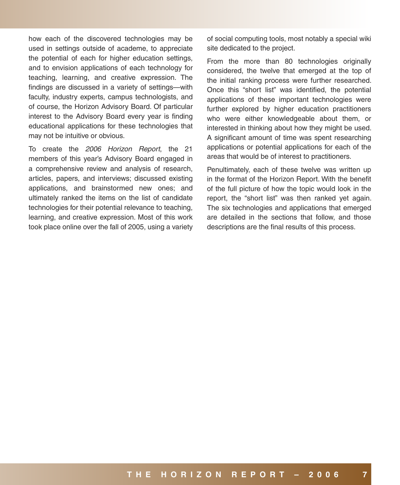how each of the discovered technologies may be used in settings outside of academe, to appreciate the potential of each for higher education settings, and to envision applications of each technology for teaching, learning, and creative expression. The findings are discussed in a variety of settings—with faculty, industry experts, campus technologists, and of course, the Horizon Advisory Board. Of particular interest to the Advisory Board every year is finding educational applications for these technologies that may not be intuitive or obvious.

To create the 2006 Horizon Report, the 21 members of this year's Advisory Board engaged in a comprehensive review and analysis of research, articles, papers, and interviews; discussed existing applications, and brainstormed new ones; and ultimately ranked the items on the list of candidate technologies for their potential relevance to teaching, learning, and creative expression. Most of this work took place online over the fall of 2005, using a variety of social computing tools, most notably a special wiki site dedicated to the project.

From the more than 80 technologies originally considered, the twelve that emerged at the top of the initial ranking process were further researched. Once this "short list" was identified, the potential applications of these important technologies were further explored by higher education practitioners who were either knowledgeable about them, or interested in thinking about how they might be used. A significant amount of time was spent researching applications or potential applications for each of the areas that would be of interest to practitioners.

Penultimately, each of these twelve was written up in the format of the Horizon Report. With the benefit of the full picture of how the topic would look in the report, the "short list" was then ranked yet again. The six technologies and applications that emerged are detailed in the sections that follow, and those descriptions are the final results of this process.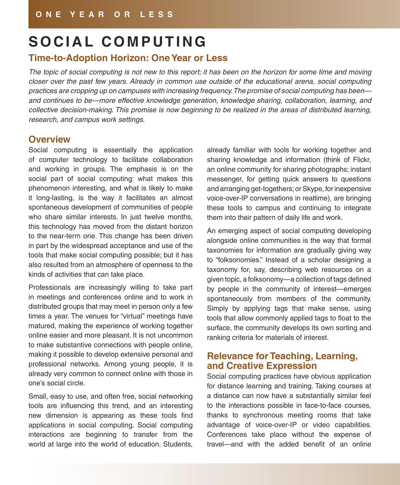## SOCIAL COMPUTING

## **Time-to-Adoption Horizon: One Year or Less**

The topic of social computing is not new to this report; it has been on the horizon for some time and moving closer over the past few years. Already in common use outside of the educational arena, social computing practices are cropping up on campuses with increasing frequency. The promise of social computing has been and continues to be—more effective knowledge generation, knowledge sharing, collaboration, learning, and collective decision-making. This promise is now beginning to be realized in the areas of distributed learning, research, and campus work settings.

## **Overview**

Social computing is essentially the application of computer technology to facilitate collaboration and working in groups. The emphasis is on the social part of social computing: what makes this phenomenon interesting, and what is likely to make it long-lasting, is the way it facilitates an almost spontaneous development of communities of people who share similar interests. In just twelve months, this technology has moved from the distant horizon to the near-term one. This change has been driven in part by the widespread acceptance and use of the tools that make social computing possible; but it has also resulted from an atmosphere of openness to the kinds of activities that can take place.

Professionals are increasingly willing to take part in meetings and conferences online and to work in distributed groups that may meet in person only a few times a year. The venues for "virtual" meetings have matured, making the experience of working together online easier and more pleasant. It is not uncommon to make substantive connections with people online, making it possible to develop extensive personal and professional networks. Among young people, it is already very common to connect online with those in one's social circle.

Small, easy to use, and often free, social networking tools are influencing this trend, and an interesting new dimension is appearing as these tools find applications in social computing. Social computing interactions are beginning to transfer from the world at large into the world of education. Students,

already familiar with tools for working together and sharing knowledge and information (think of Flickr, an online community for sharing photographs; instant messenger, for getting quick answers to questions and arranging get-togethers; or Skype, for inexpensive voice-over-IP conversations in realtime), are bringing these tools to campus and continuing to integrate them into their pattern of daily life and work.

An emerging aspect of social computing developing alongside online communities is the way that formal taxonomies for information are gradually giving way to "folksonomies." Instead of a scholar designing a taxonomy for, say, describing web resources on a given topic, a folksonomy—a collection of tags defined by people in the community of interest—emerges spontaneously from members of the community. Simply by applying tags that make sense, using tools that allow commonly applied tags to float to the surface, the community develops its own sorting and ranking criteria for materials of interest.

## **Relevance for Teaching, Learning, and Creative Expression**

Social computing practices have obvious application for distance learning and training. Taking courses at a distance can now have a substantially similar feel to the interactions possible in face-to-face courses, thanks to synchronous meeting rooms that take advantage of voice-over-IP or video capabilities. Conferences take place without the expense of travel—and with the added benefit of an online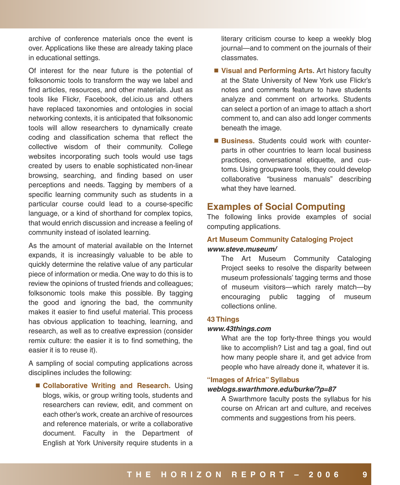archive of conference materials once the event is over. Applications like these are already taking place in educational settings.

Of interest for the near future is the potential of folksonomic tools to transform the way we label and find articles, resources, and other materials. Just as tools like Flickr, Facebook, del.icio.us and others have replaced taxonomies and ontologies in social networking contexts, it is anticipated that folksonomic tools will allow researchers to dynamically create coding and classification schema that reflect the collective wisdom of their community. College websites incorporating such tools would use tags created by users to enable sophisticated non-linear browsing, searching, and finding based on user perceptions and needs. Tagging by members of a specific learning community such as students in a particular course could lead to a course-specific language, or a kind of shorthand for complex topics, that would enrich discussion and increase a feeling of community instead of isolated learning.

As the amount of material available on the Internet expands, it is increasingly valuable to be able to quickly determine the relative value of any particular piece of information or media. One way to do this is to review the opinions of trusted friends and colleagues; folksonomic tools make this possible. By tagging the good and ignoring the bad, the community makes it easier to find useful material. This process has obvious application to teaching, learning, and research, as well as to creative expression (consider remix culture: the easier it is to find something, the easier it is to reuse it).

A sampling of social computing applications across disciplines includes the following:

■ Collaborative Writing and Research. Using blogs, wikis, or group writing tools, students and researchers can review, edit, and comment on each other's work, create an archive of resources and reference materials, or write a collaborative document. Faculty in the Department of English at York University require students in a

literary criticism course to keep a weekly blog journal—and to comment on the journals of their classmates.

- **Visual and Performing Arts.** Art history faculty at the State University of New York use Flickr's notes and comments feature to have students analyze and comment on artworks. Students can select a portion of an image to attach a short comment to, and can also add longer comments beneath the image.
- **Business.** Students could work with counterparts in other countries to learn local business practices, conversational etiquette, and customs. Using groupware tools, they could develop collaborative "business manuals" describing what they have learned.

## **Examples of Social Computing**

The following links provide examples of social computing applications.

#### **Art Museum Community Cataloging Project [www.steve.museum/](http://www.steve.museum/)**

The Art Museum Community Cataloging Project seeks to resolve the disparity between museum professionals' tagging terms and those of museum visitors—which rarely match—by encouraging public tagging of museum collections online.

#### **43 Things**

#### **[www.43things.com](http://www.43things.com)**

What are the top forty-three things you would like to accomplish? List and tag a goal, find out how many people share it, and get advice from people who have already done it, whatever it is.

#### **"Images of Africa" Syllabus**

#### **[weblogs.swarthmore.edu/burke/?p=87](http://weblogs.swarthmore.edu/burke/?p=87)**

A Swarthmore faculty posts the syllabus for his course on African art and culture, and receives comments and suggestions from his peers.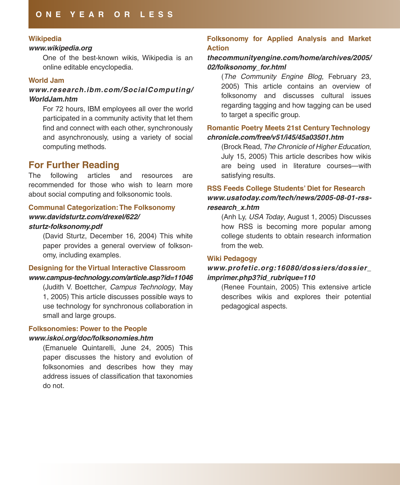#### **Wikipedia**

#### **[www.wikipedia.org](http://www.wikipedia.org)**

One of the best-known wikis, Wikipedia is an online editable encyclopedia.

#### **World Jam**

#### **[www.research.ibm.com/SocialComputing/](http://www.research.ibm.com/SocialComputing/WorldJam.htm)** World.*Jam.htm*

For 72 hours, IBM employees all over the world participated in a community activity that let them find and connect with each other, synchronously and asynchronously, using a variety of social computing methods.

## **For Further Reading**

The following articles and resources are recommended for those who wish to learn more about social computing and folksonomic tools.

#### **Communal Categorization: The Folksonomy [www.davidsturtz.com/drexel/622/](http://www.davidsturtz.com/drexel/622/sturtz-folksonomy.pdf) [sturtz-folksonomy.pdf](http://www.davidsturtz.com/drexel/622/sturtz-folksonomy.pdf)**

### (David Sturtz, December 16, 2004) This white paper provides a general overview of folksonomy, including examples.

#### **Designing for the Virtual Interactive Classroom [www.campus-technology.com/article.asp?id=11046](http://www.campus-technology.com/article.asp?id=11046)**

(Judith V. Boettcher, Campus Technology, May 1, 2005) This article discusses possible ways to use technology for synchronous collaboration in small and large groups.

#### **Folksonomies: Power to the People**

#### **[www.iskoi.org/doc/folksonomies.htm](http://www.iskoi.org/doc/folksonomies.htm)**

(Emanuele Quintarelli, June 24, 2005) This paper discusses the history and evolution of folksonomies and describes how they may address issues of classification that taxonomies do not.

#### **Folksonomy for Applied Analysis and Market Action**

#### **[thecommunityengine.com/home/archives/2005/](http://thecommunityengine.com/home/archives/2005/02/folksonomy_for.html) [02/folksonomy\\_for.html](http://thecommunityengine.com/home/archives/2005/02/folksonomy_for.html)**

(The Community Engine Blog, February 23, 2005) This article contains an overview of folksonomy and discusses cultural issues regarding tagging and how tagging can be used to target a specific group.

#### **Romantic Poetry Meets 21st Century Technology [chronicle.com/free/v51/i45/45a03501.htm](http://chronicle.com/free/v51/i45/45a03501.htm)**

(Brock Read, The Chronicle of Higher Education, July 15, 2005) This article describes how wikis are being used in literature courses—with satisfying results.

### **RSS Feeds College Students' Diet for Research [www.usatoday.com/tech/news/2005-08-01-rss](http://www.usatoday.com/tech/news/2005-08-01-rss-research_x.htm)[research\\_x.htm](http://www.usatoday.com/tech/news/2005-08-01-rss-research_x.htm)**

(Anh Ly, USA Today, August 1, 2005) Discusses how RSS is becoming more popular among college students to obtain research information from the web.

#### **Wiki Pedagogy**

#### **[www.profetic.org:16080/dossiers/dossier\\_](http://www.profetic.org:16080/dossiers/dossier_imprimer.php3?id_rubrique=110) [imprimer.php3?id\\_rubrique=110](http://www.profetic.org:16080/dossiers/dossier_imprimer.php3?id_rubrique=110)**

(Renee Fountain, 2005) This extensive article describes wikis and explores their potential pedagogical aspects.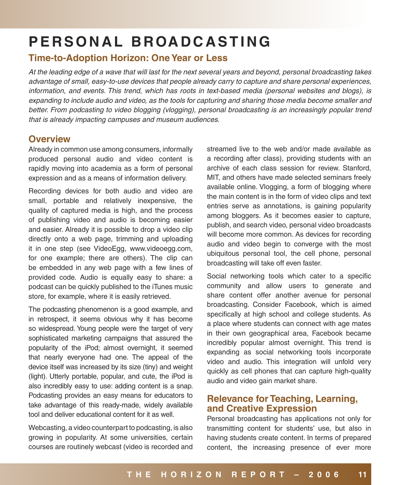## **P E R S O N A L B ROA D C A S T I N G**

## **Time-to-Adoption Horizon: One Year or Less**

At the leading edge of a wave that will last for the next several years and beyond, personal broadcasting takes advantage of small, easy-to-use devices that people already carry to capture and share personal experiences, information, and events. This trend, which has roots in text-based media (personal websites and blogs), is expanding to include audio and video, as the tools for capturing and sharing those media become smaller and better. From podcasting to video blogging (vlogging), personal broadcasting is an increasingly popular trend that is already impacting campuses and museum audiences.

## **Overview**

Already in common use among consumers, informally produced personal audio and video content is rapidly moving into academia as a form of personal expression and as a means of information delivery.

Recording devices for both audio and video are small, portable and relatively inexpensive, the quality of captured media is high, and the process of publishing video and audio is becoming easier and easier. Already it is possible to drop a video clip directly onto a web page, trimming and uploading it in one step (see VideoEgg, [www.videoegg.com](http://www.videoegg.com), for one example; there are others). The clip can be embedded in any web page with a few lines of provided code. Audio is equally easy to share: a podcast can be quickly published to the iTunes music store, for example, where it is easily retrieved.

The podcasting phenomenon is a good example, and in retrospect, it seems obvious why it has become so widespread. Young people were the target of very sophisticated marketing campaigns that assured the popularity of the iPod; almost overnight, it seemed that nearly everyone had one. The appeal of the device itself was increased by its size (tiny) and weight (light). Utterly portable, popular, and cute, the iPod is also incredibly easy to use: adding content is a snap. Podcasting provides an easy means for educators to take advantage of this ready-made, widely available tool and deliver educational content for it as well.

Webcasting, a video counterpart to podcasting, is also growing in popularity. At some universities, certain courses are routinely webcast (video is recorded and streamed live to the web and/or made available as a recording after class), providing students with an archive of each class session for review. Stanford, MIT, and others have made selected seminars freely available online. Vlogging, a form of blogging where the main content is in the form of video clips and text entries serve as annotations, is gaining popularity among bloggers. As it becomes easier to capture, publish, and search video, personal video broadcasts will become more common. As devices for recording audio and video begin to converge with the most ubiquitous personal tool, the cell phone, personal broadcasting will take off even faster.

Social networking tools which cater to a specific community and allow users to generate and share content offer another avenue for personal broadcasting. Consider Facebook, which is aimed specifically at high school and college students. As a place where students can connect with age mates in their own geographical area, Facebook became incredibly popular almost overnight. This trend is expanding as social networking tools incorporate video and audio. This integration will unfold very quickly as cell phones that can capture high-quality audio and video gain market share.

## **Relevance for Teaching, Learning, and Creative Expression**

Personal broadcasting has applications not only for transmitting content for students' use, but also in having students create content. In terms of prepared content, the increasing presence of ever more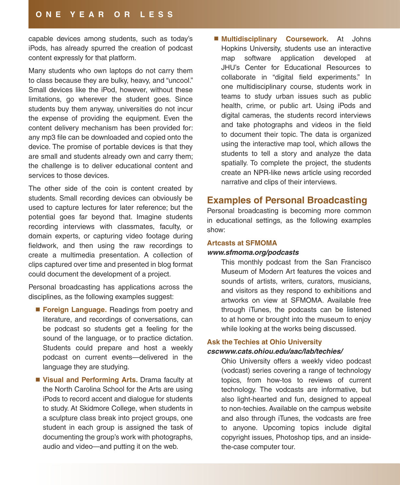#### **O N E Y E A R O R L E S S**

capable devices among students, such as today's iPods, has already spurred the creation of podcast content expressly for that platform.

Many students who own laptops do not carry them to class because they are bulky, heavy, and "uncool." Small devices like the iPod, however, without these limitations, go wherever the student goes. Since students buy them anyway, universities do not incur the expense of providing the equipment. Even the content delivery mechanism has been provided for: any mp3 file can be downloaded and copied onto the device. The promise of portable devices is that they are small and students already own and carry them; the challenge is to deliver educational content and services to those devices.

The other side of the coin is content created by students. Small recording devices can obviously be used to capture lectures for later reference; but the potential goes far beyond that. Imagine students recording interviews with classmates, faculty, or domain experts, or capturing video footage during fieldwork, and then using the raw recordings to create a multimedia presentation. A collection of clips captured over time and presented in blog format could document the development of a project.

Personal broadcasting has applications across the disciplines, as the following examples suggest:

- **Foreign Language.** Readings from poetry and literature, and recordings of conversations, can be podcast so students get a feeling for the sound of the language, or to practice dictation. Students could prepare and host a weekly podcast on current events—delivered in the language they are studying.
- **Visual and Performing Arts.** Drama faculty at the North Carolina School for the Arts are using iPods to record accent and dialogue for students to study. At Skidmore College, when students in a sculpture class break into project groups, one student in each group is assigned the task of documenting the group's work with photographs, audio and video—and putting it on the web.

 **Multidisciplinary Coursework.** At Johns Hopkins University, students use an interactive map software application developed at JHU's Center for Educational Resources to collaborate in "digital field experiments." In one multidisciplinary course, students work in teams to study urban issues such as public health, crime, or public art. Using iPods and digital cameras, the students record interviews and take photographs and videos in the field to document their topic. The data is organized using the interactive map tool, which allows the students to tell a story and analyze the data spatially. To complete the project, the students create an NPR-like news article using recorded narrative and clips of their interviews.

#### **Examples of Personal Broadcasting**

Personal broadcasting is becoming more common in educational settings, as the following examples show:

#### **Artcasts at SFMOMA**

#### **[www.sfmoma.org/podcasts](http://www.sfmoma.org/podcasts)**

This monthly podcast from the San Francisco Museum of Modern Art features the voices and sounds of artists, writers, curators, musicians, and visitors as they respond to exhibitions and artworks on view at SFMOMA. Available free through iTunes, the podcasts can be listened to at home or brought into the museum to enjoy while looking at the works being discussed.

#### **Ask the Techies at Ohio University cscwww.cats.ohiou.edu/aac/lab/techies/**

Ohio University offers a weekly video podcast (vodcast) series covering a range of technology topics, from how-tos to reviews of current technology. The vodcasts are informative, but also light-hearted and fun, designed to appeal to non-techies. Available on the campus website and also through iTunes, the vodcasts are free to anyone. Upcoming topics include digital copyright issues, Photoshop tips, and an insidethe-case computer tour.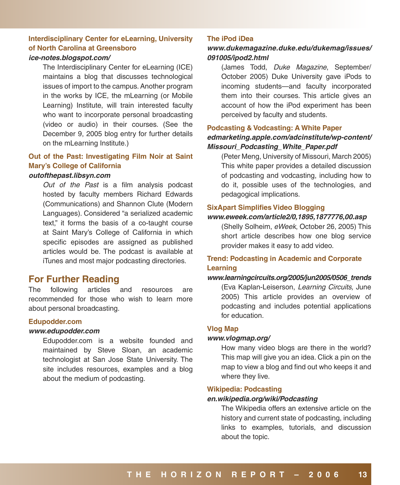## **Interdisciplinary Center for eLearning, University of North Carolina at Greensboro**

#### **[ice-notes.blogspot.com/](http://ice-notes.blogspot.com/)**

The Interdisciplinary Center for eLearning (ICE) maintains a blog that discusses technological issues of import to the campus. Another program in the works by ICE, the mLearning (or Mobile Learning) Institute, will train interested faculty who want to incorporate personal broadcasting (video or audio) in their courses. (See the December 9, 2005 blog entry for further details on the mLearning Institute.)

## **Out of the Past: Investigating Film Noir at Saint Mary's College of California**

#### **[outofthepast.libsyn.com](http://outofthepast.libsyn.com)**

Out of the Past is a film analysis podcast hosted by faculty members Richard Edwards (Communications) and Shannon Clute (Modern Languages). Considered "a serialized academic text," it forms the basis of a co-taught course at Saint Mary's College of California in which specific episodes are assigned as published articles would be. The podcast is available at iTunes and most major podcasting directories.

## **For Further Reading**

The following articles and resources are recommended for those who wish to learn more about personal broadcasting.

#### **Edupodder.com**

#### **[www.edupodder.com](http://www.edupodder.com)**

Edupodder.com is a website founded and maintained by Steve Sloan, an academic technologist at San Jose State University. The site includes resources, examples and a blog about the medium of podcasting.

#### **The iPod iDea**

#### **[www.dukemagazine.duke.edu/dukemag/issues/](http://www.dukemagazine.duke.edu/dukemag/issues/091005/ipod2.html) [091005/ipod2.html](http://www.dukemagazine.duke.edu/dukemag/issues/091005/ipod2.html)**

(James Todd, Duke Magazine, September/ October 2005) Duke University gave iPods to incoming students—and faculty incorporated them into their courses. This article gives an account of how the iPod experiment has been perceived by faculty and students.

#### **Podcasting & Vodcasting: A White Paper [edmarketing.apple.com/adcinstitute/wp-content/](http://edmarketing.apple.com/adcinstitute/wp-content/Missouri_Podcasting_White_Paper.pdf) [Missouri\\_Podcasting\\_White\\_Paper.pdf](http://edmarketing.apple.com/adcinstitute/wp-content/Missouri_Podcasting_White_Paper.pdf)**

(Peter Meng, University of Missouri, March 2005) This white paper provides a detailed discussion of podcasting and vodcasting, including how to do it, possible uses of the technologies, and pedagogical implications.

#### **SixApart Simplifies Video Blogging**

#### **[www.eweek.com/article2/0,1895,1877776,00.asp](http://www.eweek.com/article2/0,1895,1877776,00.asp)**

(Shelly Solheim, eWeek, October 26, 2005) This short article describes how one blog service provider makes it easy to add video.

#### **Trend: Podcasting in Academic and Corporate Learning**

#### **[www.learningcircuits.org/2005/jun2005/0506\\_trends](http://www.learningcircuits.org/2005/jun2005/0506_trends)**

(Eva Kaplan-Leiserson, Learning Circuits, June 2005) This article provides an overview of podcasting and includes potential applications for education.

#### **Vlog Map**

#### **[www.vlogmap.org/](http://www.vlogmap.org/)**

How many video blogs are there in the world? This map will give you an idea. Click a pin on the map to view a blog and find out who keeps it and where they live.

#### **Wikipedia: Podcasting**

#### **[en.wikipedia.org/wiki/Podcasting](http://en.wikipedia.org/wiki/Podcasting)**

The Wikipedia offers an extensive article on the history and current state of podcasting, including links to examples, tutorials, and discussion about the topic.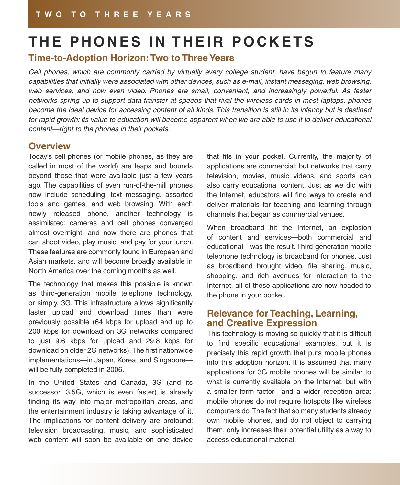## **THE PHONES IN THEIR POCKETS**

## **Time-to-Adoption Horizon: Two to Three Years**

Cell phones, which are commonly carried by virtually every college student, have begun to feature many capabilities that initially were associated with other devices, such as e-mail, instant messaging, web browsing, web services, and now even video. Phones are small, convenient, and increasingly powerful. As faster networks spring up to support data transfer at speeds that rival the wireless cards in most laptops, phones become the ideal device for accessing content of all kinds. This transition is still in its infancy but is destined for rapid growth: its value to education will become apparent when we are able to use it to deliver educational content—right to the phones in their pockets.

## **Overview**

Today's cell phones (or mobile phones, as they are called in most of the world) are leaps and bounds beyond those that were available just a few years ago. The capabilities of even run-of-the-mill phones now include scheduling, text messaging, assorted tools and games, and web browsing. With each newly released phone, another technology is assimilated: cameras and cell phones converged almost overnight, and now there are phones that can shoot video, play music, and pay for your lunch. These features are commonly found in European and Asian markets, and will become broadly available in North America over the coming months as well.

The technology that makes this possible is known as third-generation mobile telephone technology, or simply, 3G. This infrastructure allows significantly faster upload and download times than were previously possible (64 kbps for upload and up to 200 kbps for download on 3G networks compared to just 9.6 kbps for upload and 29.8 kbps for download on older 2G networks). The first nationwide implementations—in Japan, Korea, and Singapore will be fully completed in 2006.

In the United States and Canada, 3G (and its successor, 3.5G, which is even faster) is already finding its way into major metropolitan areas, and the entertainment industry is taking advantage of it. The implications for content delivery are profound: television broadcasting, music, and sophisticated web content will soon be available on one device that fits in your pocket. Currently, the majority of applications are commercial; but networks that carry television, movies, music videos, and sports can also carry educational content. Just as we did with the Internet, educators will find ways to create and deliver materials for teaching and learning through channels that began as commercial venues.

When broadband hit the Internet, an explosion of content and services—both commercial and educational—was the result. Third-generation mobile telephone technology is broadband for phones. Just as broadband brought video, file sharing, music, shopping, and rich avenues for interaction to the Internet, all of these applications are now headed to the phone in your pocket.

## **Relevance for Teaching, Learning, and Creative Expression**

This technology is moving so quickly that it is difficult to find specific educational examples, but it is precisely this rapid growth that puts mobile phones into this adoption horizon. It is assumed that many applications for 3G mobile phones will be similar to what is currently available on the Internet, but with a smaller form factor—and a wider reception area: mobile phones do not require hotspots like wireless computers do. The fact that so many students already own mobile phones, and do not object to carrying them, only increases their potential utility as a way to access educational material.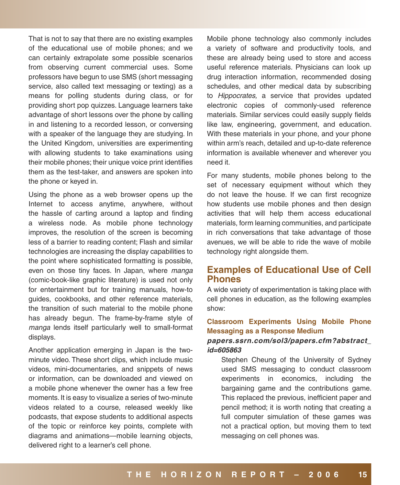That is not to say that there are no existing examples of the educational use of mobile phones; and we can certainly extrapolate some possible scenarios from observing current commercial uses. Some professors have begun to use SMS (short messaging service, also called text messaging or texting) as a means for polling students during class, or for providing short pop quizzes. Language learners take advantage of short lessons over the phone by calling in and listening to a recorded lesson, or conversing with a speaker of the language they are studying. In the United Kingdom, universities are experimenting with allowing students to take examinations using their mobile phones; their unique voice print identifies them as the test-taker, and answers are spoken into the phone or keyed in.

Using the phone as a web browser opens up the Internet to access anytime, anywhere, without the hassle of carting around a laptop and finding a wireless node. As mobile phone technology improves, the resolution of the screen is becoming less of a barrier to reading content; Flash and similar technologies are increasing the display capabilities to the point where sophisticated formatting is possible, even on those tiny faces. In Japan, where manga (comic-book-like graphic literature) is used not only for entertainment but for training manuals, how-to guides, cookbooks, and other reference materials, the transition of such material to the mobile phone has already begun. The frame-by-frame style of manga lends itself particularly well to small-format displays.

Another application emerging in Japan is the twominute video. These short clips, which include music videos, mini-documentaries, and snippets of news or information, can be downloaded and viewed on a mobile phone whenever the owner has a few free moments. It is easy to visualize a series of two-minute videos related to a course, released weekly like podcasts, that expose students to additional aspects of the topic or reinforce key points, complete with diagrams and animations—mobile learning objects, delivered right to a learner's cell phone.

Mobile phone technology also commonly includes a variety of software and productivity tools, and these are already being used to store and access useful reference materials. Physicians can look up drug interaction information, recommended dosing schedules, and other medical data by subscribing to Hippocrates, a service that provides updated electronic copies of commonly-used reference materials. Similar services could easily supply fields like law, engineering, government, and education. With these materials in your phone, and your phone within arm's reach, detailed and up-to-date reference information is available whenever and wherever you need it.

For many students, mobile phones belong to the set of necessary equipment without which they do not leave the house. If we can first recognize how students use mobile phones and then design activities that will help them access educational materials, form learning communities, and participate in rich conversations that take advantage of those avenues, we will be able to ride the wave of mobile technology right alongside them.

## **Examples of Educational Use of Cell Phones**

A wide variety of experimentation is taking place with cell phones in education, as the following examples show:

#### **Classroom Experiments Using Mobile Phone Messaging as a Response Medium**

#### **[papers.ssrn.com/sol3/papers.cfm?abstract\\_](http://papers.ssrn.com/sol3/papers.cfm?abstract_id=605863) [id=605863](http://papers.ssrn.com/sol3/papers.cfm?abstract_id=605863)**

Stephen Cheung of the University of Sydney used SMS messaging to conduct classroom experiments in economics, including the bargaining game and the contributions game. This replaced the previous, inefficient paper and pencil method; it is worth noting that creating a full computer simulation of these games was not a practical option, but moving them to text messaging on cell phones was.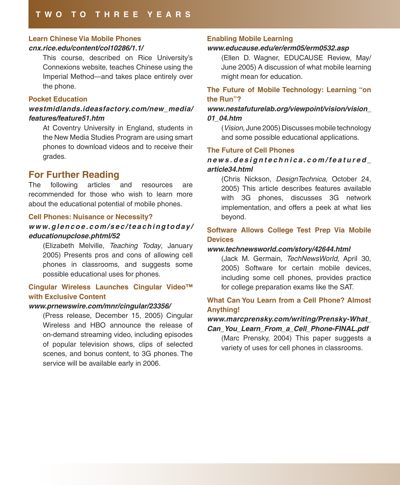## **Learn Chinese Via Mobile Phones**

#### **[cnx.rice.edu/content/col10286/1.1/](http://cnx.rice.edu/content/col10286/1.1/)**

This course, described on Rice University's Connexions website, teaches Chinese using the Imperial Method—and takes place entirely over the phone.

#### **Pocket Education**

### **[westmidlands.ideasfactory.com/new\\_media/](http://westmidlands.ideasfactory.com/new_media/features/feature51.htm) [features/feature51.htm](http://westmidlands.ideasfactory.com/new_media/features/feature51.htm)**

At Coventry University in England, students in the New Media Studies Program are using smart phones to download videos and to receive their grades.

## **For Further Reading**

The following articles and resources are recommended for those who wish to learn more about the educational potential of mobile phones.

#### **Cell Phones: Nuisance or Necessity?**

### **[w w w. g l e n c o e . c o m / s e c / t e a c h i n g t o d ay /](http://www.glencoe.com/sec/teachingtoday/educationupclose.phtml/52) [educationupclose.phtml/52](http://www.glencoe.com/sec/teachingtoday/educationupclose.phtml/52)**

(Elizabeth Melville, Teaching Today, January 2005) Presents pros and cons of allowing cell phones in classrooms, and suggests some possible educational uses for phones.

#### **Cingular Wireless Launches Cingular Video™ with Exclusive Content**

#### **[www.prnewswire.com/mnr/cingular/23356/](http://www.prnewswire.com/mnr/cingular/23356/)**

(Press release, December 15, 2005) Cingular Wireless and HBO announce the release of on-demand streaming video, including episodes of popular television shows, clips of selected scenes, and bonus content, to 3G phones. The service will be available early in 2006.

#### **Enabling Mobile Learning**

#### **[www.educause.edu/er/erm05/erm0532.asp](http://www.educause.edu/er/erm05/erm0532.asp)**

(Ellen D. Wagner, EDUCAUSE Review, May/ June 2005) A discussion of what mobile learning might mean for education.

#### **The Future of Mobile Technology: Learning "on the Run"?**

#### **[www.nestafuturelab.org/viewpoint/vision/vision\\_](http://www.nestafuturelab.org/viewpoint/vision/vision_01_04.htm) [01\\_04.htm](http://www.nestafuturelab.org/viewpoint/vision/vision_01_04.htm)**

(Vision, June 2005) Discusses mobile technology and some possible educational applications.

#### **The Future of Cell Phones**

#### **[n e w s . d e s i g n t e c h n i c a . c o m / f e a t u r e d \\_](http://news.designtechnica.com/featured_article34.html) [article34.html](http://news.designtechnica.com/featured_article34.html)**

(Chris Nickson, DesignTechnica, October 24, 2005) This article describes features available with 3G phones, discusses 3G network implementation, and offers a peek at what lies beyond.

#### **Software Allows College Test Prep Via Mobile Devices**

#### **[www.technewsworld.com/story/42644.html](http://www.technewsworld.com/story/42644.html)**

(Jack M. Germain, TechNewsWorld, April 30, 2005) Software for certain mobile devices, including some cell phones, provides practice for college preparation exams like the SAT.

#### **What Can You Learn from a Cell Phone? Almost Anything!**

#### **[www.marcprensky.com/writing/Prensky-What\\_](http://www.marcprensky.com/writing/Prensky-What_Can_You_Learn_From_a_Cell_Phone-FINAL.pdf) [Can\\_You\\_Learn\\_From\\_a\\_Cell\\_Phone-FINAL.pdf](http://www.marcprensky.com/writing/Prensky-What_Can_You_Learn_From_a_Cell_Phone-FINAL.pdf)**

(Marc Prensky, 2004) This paper suggests a variety of uses for cell phones in classrooms.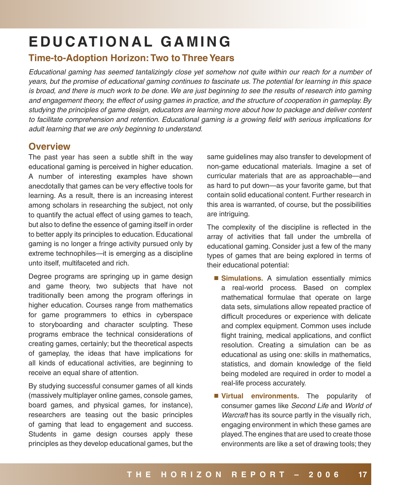## **E D U C AT I O N A L G A M I N G**

## **Time-to-Adoption Horizon: Two to Three Years**

Educational gaming has seemed tantalizingly close yet somehow not quite within our reach for a number of years, but the promise of educational gaming continues to fascinate us. The potential for learning in this space is broad, and there is much work to be done. We are just beginning to see the results of research into gaming and engagement theory, the effect of using games in practice, and the structure of cooperation in gameplay. By studying the principles of game design, educators are learning more about how to package and deliver content to facilitate comprehension and retention. Educational gaming is a growing field with serious implications for adult learning that we are only beginning to understand.

## **Overview**

The past year has seen a subtle shift in the way educational gaming is perceived in higher education. A number of interesting examples have shown anecdotally that games can be very effective tools for learning. As a result, there is an increasing interest among scholars in researching the subject, not only to quantify the actual effect of using games to teach, but also to define the essence of gaming itself in order to better apply its principles to education. Educational gaming is no longer a fringe activity pursued only by extreme technophiles—it is emerging as a discipline unto itself, multifaceted and rich.

Degree programs are springing up in game design and game theory, two subjects that have not traditionally been among the program offerings in higher education. Courses range from mathematics for game programmers to ethics in cyberspace to storyboarding and character sculpting. These programs embrace the technical considerations of creating games, certainly; but the theoretical aspects of gameplay, the ideas that have implications for all kinds of educational activities, are beginning to receive an equal share of attention.

By studying successful consumer games of all kinds (massively multiplayer online games, console games, board games, and physical games, for instance), researchers are teasing out the basic principles of gaming that lead to engagement and success. Students in game design courses apply these principles as they develop educational games, but the

same guidelines may also transfer to development of non-game educational materials. Imagine a set of curricular materials that are as approachable—and as hard to put down—as your favorite game, but that contain solid educational content. Further research in this area is warranted, of course, but the possibilities are intriguing.

The complexity of the discipline is reflected in the array of activities that fall under the umbrella of educational gaming. Consider just a few of the many types of games that are being explored in terms of their educational potential:

- **Simulations.** A simulation essentially mimics a real-world process. Based on complex mathematical formulae that operate on large data sets, simulations allow repeated practice of difficult procedures or experience with delicate and complex equipment. Common uses include flight training, medical applications, and conflict resolution. Creating a simulation can be as educational as using one: skills in mathematics, statistics, and domain knowledge of the field being modeled are required in order to model a real-life process accurately.
- **Virtual environments.** The popularity of consumer games like Second Life and World of Warcraft has its source partly in the visually rich, engaging environment in which these games are played. The engines that are used to create those environments are like a set of drawing tools; they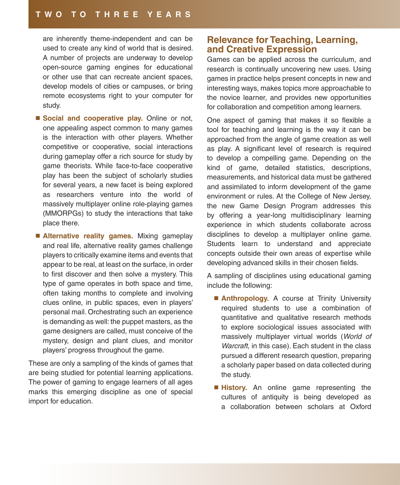are inherently theme-independent and can be used to create any kind of world that is desired. A number of projects are underway to develop open-source gaming engines for educational or other use that can recreate ancient spaces, develop models of cities or campuses, or bring remote ecosystems right to your computer for study.

- **Social and cooperative play.** Online or not, one appealing aspect common to many games is the interaction with other players. Whether competitive or cooperative, social interactions during gameplay offer a rich source for study by game theorists. While face-to-face cooperative play has been the subject of scholarly studies for several years, a new facet is being explored as researchers venture into the world of massively multiplayer online role-playing games (MMORPGs) to study the interactions that take place there.
- **Alternative reality games.** Mixing gameplay and real life, alternative reality games challenge players to critically examine items and events that appear to be real, at least on the surface, in order to first discover and then solve a mystery. This type of game operates in both space and time, often taking months to complete and involving clues online, in public spaces, even in players' personal mail. Orchestrating such an experience is demanding as well: the puppet masters, as the game designers are called, must conceive of the mystery, design and plant clues, and monitor players' progress throughout the game.

These are only a sampling of the kinds of games that are being studied for potential learning applications. The power of gaming to engage learners of all ages marks this emerging discipline as one of special import for education.

## **Relevance for Teaching, Learning, and Creative Expression**

Games can be applied across the curriculum, and research is continually uncovering new uses. Using games in practice helps present concepts in new and interesting ways, makes topics more approachable to the novice learner, and provides new opportunities for collaboration and competition among learners.

One aspect of gaming that makes it so flexible a tool for teaching and learning is the way it can be approached from the angle of game creation as well as play. A significant level of research is required to develop a compelling game. Depending on the kind of game, detailed statistics, descriptions, measurements, and historical data must be gathered and assimilated to inform development of the game environment or rules. At the College of New Jersey, the new Game Design Program addresses this by offering a year-long multidisciplinary learning experience in which students collaborate across disciplines to develop a multiplayer online game. Students learn to understand and appreciate concepts outside their own areas of expertise while developing advanced skills in their chosen fields.

A sampling of disciplines using educational gaming include the following:

- **Anthropology.** A course at Trinity University required students to use a combination of quantitative and qualitative research methods to explore sociological issues associated with massively multiplayer virtual worlds (World of Warcraft, in this case). Each student in the class pursued a different research question, preparing a scholarly paper based on data collected during the study.
- **History.** An online game representing the cultures of antiquity is being developed as a collaboration between scholars at Oxford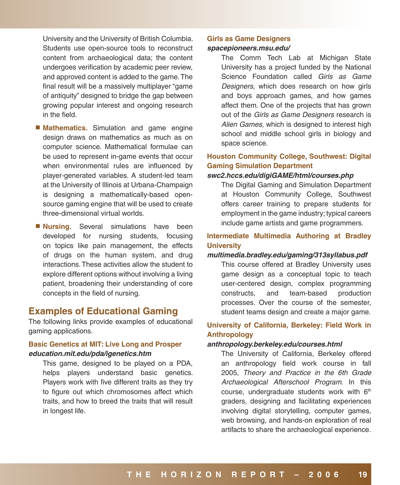University and the University of British Columbia. Students use open-source tools to reconstruct content from archaeological data; the content undergoes verification by academic peer review, and approved content is added to the game. The final result will be a massively multiplayer "game of antiquity" designed to bridge the gap between growing popular interest and ongoing research in the field.

- Mathematics. Simulation and game engine design draws on mathematics as much as on computer science. Mathematical formulae can be used to represent in-game events that occur when environmental rules are influenced by player-generated variables. A student-led team at the University of Illinois at Urbana-Champaign is designing a mathematically-based opensource gaming engine that will be used to create three-dimensional virtual worlds.
- **Nursing.** Several simulations have been developed for nursing students, focusing on topics like pain management, the effects of drugs on the human system, and drug interactions. These activities allow the student to explore different options without involving a living patient, broadening their understanding of core concepts in the field of nursing.

## **Examples of Educational Gaming**

The following links provide examples of educational gaming applications.

#### **Basic Genetics at MIT: Live Long and Prosper [education.mit.edu/pda/igenetics.htm](http://education.mit.edu/pda/igenetics.htm)**

This game, designed to be played on a PDA, helps players understand basic genetics. Players work with five different traits as they try to figure out which chromosomes affect which traits, and how to breed the traits that will result in longest life.

#### **Girls as Game Designers [spacepioneers.msu.edu/](http://spacepioneers.msu.edu/)**

The Comm Tech Lab at Michigan State University has a project funded by the National Science Foundation called Girls as Game Designers, which does research on how girls and boys approach games, and how games affect them. One of the projects that has grown out of the Girls as Game Designers research is Alien Games, which is designed to interest high school and middle school girls in biology and space science.

## **Houston Community College, Southwest: Digital Gaming Simulation Department**

#### **[swc2.hccs.edu/digiGAME/html/courses.php](http://swc2.hccs.edu/digiGAME/html/courses.php)**

The Digital Gaming and Simulation Department at Houston Community College, Southwest offers career training to prepare students for employment in the game industry; typical careers include game artists and game programmers.

#### **Intermediate Multimedia Authoring at Bradley University**

#### **[multimedia.bradley.edu/gaming/313syllabus.pdf](http://multimedia.bradley.edu/gaming/313syllabus.pdf)**

This course offered at Bradley University uses game design as a conceptual topic to teach user-centered design, complex programming constructs, and team-based production processes. Over the course of the semester, student teams design and create a major game.

### **University of California, Berkeley: Field Work in Anthropology**

#### **[anthropology.berkeley.edu/courses.html](http://anthropology.berkeley.edu/courses.html)**

The University of California, Berkeley offered an anthropology field work course in fall 2005, Theory and Practice in the 6th Grade Archaeological Afterschool Program. In this course, undergraduate students work with  $6<sup>th</sup>$ graders, designing and facilitating experiences involving digital storytelling, computer games, web browsing, and hands-on exploration of real artifacts to share the archaeological experience.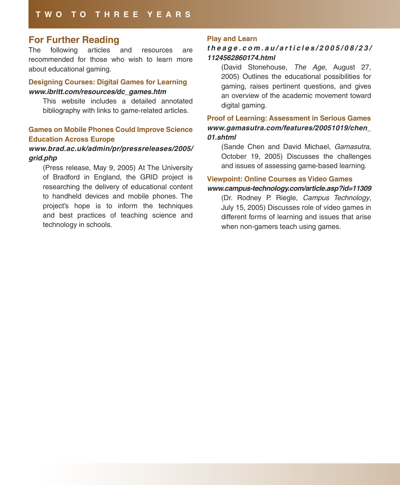## **For Further Reading**

The following articles and resources are recommended for those who wish to learn more about educational gaming.

#### **Designing Courses: Digital Games for Learning [www.ibritt.com/resources/dc\\_games.htm](http://www.ibritt.com/resources/dc_games.htm)**

This website includes a detailed annotated bibliography with links to game-related articles.

#### **Games on Mobile Phones Could Improve Science Education Across Europe**

#### **[www.brad.ac.uk/admin/pr/pressreleases/2005/](http://www.brad.ac.uk/admin/pr/pressreleases/2005/grid.php) [grid.php](http://www.brad.ac.uk/admin/pr/pressreleases/2005/grid.php)**

(Press release, May 9, 2005) At The University of Bradford in England, the GRID project is researching the delivery of educational content to handheld devices and mobile phones. The project's hope is to inform the techniques and best practices of teaching science and technology in schools.

#### **Play and Learn**

#### **[t h e a g e . c o m . a u / a r t i c l e s / 2 0 0 5 / 0 8 / 2 3 /](http://theage.com.au/articles/2005/08/23/1124562860174.html) [1124562860174.html](http://theage.com.au/articles/2005/08/23/1124562860174.html)**

(David Stonehouse, The Age, August 27, 2005) Outlines the educational possibilities for gaming, raises pertinent questions, and gives an overview of the academic movement toward digital gaming.

### **Proof of Learning: Assessment in Serious Games [www.gamasutra.com/features/20051019/chen\\_](http://www.gamasutra.com/features/20051019/chen_01.shtml) [01.shtml](http://www.gamasutra.com/features/20051019/chen_01.shtml)**

(Sande Chen and David Michael, Gamasutra, October 19, 2005) Discusses the challenges and issues of assessing game-based learning.

#### **Viewpoint: Online Courses as Video Games [www.campus-technology.com/article.asp?id=11309](http://www.campus-technology.com/article.asp?id=11309)**

(Dr. Rodney P. Riegle, Campus Technology, July 15, 2005) Discusses role of video games in different forms of learning and issues that arise when non-gamers teach using games.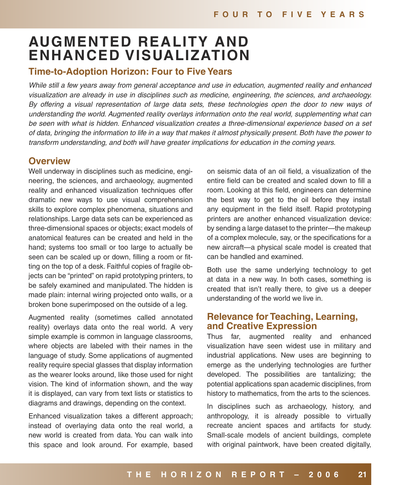## **AUGMENTED REALITY AND ENHANCED VISUALIZATION**

## **Time-to-Adoption Horizon: Four to Five Years**

While still a few years away from general acceptance and use in education, augmented reality and enhanced visualization are already in use in disciplines such as medicine, engineering, the sciences, and archaeology. By offering a visual representation of large data sets, these technologies open the door to new ways of understanding the world. Augmented reality overlays information onto the real world, supplementing what can be seen with what is hidden. Enhanced visualization creates a three-dimensional experience based on a set of data, bringing the information to life in a way that makes it almost physically present. Both have the power to transform understanding, and both will have greater implications for education in the coming years.

### **Overview**

Well underway in disciplines such as medicine, engineering, the sciences, and archaeology, augmented reality and enhanced visualization techniques offer dramatic new ways to use visual comprehension skills to explore complex phenomena, situations and relationships. Large data sets can be experienced as three-dimensional spaces or objects; exact models of anatomical features can be created and held in the hand; systems too small or too large to actually be seen can be scaled up or down, filling a room or fitting on the top of a desk. Faithful copies of fragile objects can be "printed" on rapid prototyping printers, to be safely examined and manipulated. The hidden is made plain: internal wiring projected onto walls, or a broken bone superimposed on the outside of a leg.

Augmented reality (sometimes called annotated reality) overlays data onto the real world. A very simple example is common in language classrooms, where objects are labeled with their names in the language of study. Some applications of augmented reality require special glasses that display information as the wearer looks around, like those used for night vision. The kind of information shown, and the way it is displayed, can vary from text lists or statistics to diagrams and drawings, depending on the context.

Enhanced visualization takes a different approach; instead of overlaying data onto the real world, a new world is created from data. You can walk into this space and look around. For example, based

on seismic data of an oil field, a visualization of the entire field can be created and scaled down to fill a room. Looking at this field, engineers can determine the best way to get to the oil before they install any equipment in the field itself. Rapid prototyping printers are another enhanced visualization device: by sending a large dataset to the printer—the makeup of a complex molecule, say, or the specifications for a new aircraft—a physical scale model is created that can be handled and examined.

Both use the same underlying technology to get at data in a new way. In both cases, something is created that isn't really there, to give us a deeper understanding of the world we live in.

## **Relevance for Teaching, Learning, and Creative Expression**

Thus far, augmented reality and enhanced visualization have seen widest use in military and industrial applications. New uses are beginning to emerge as the underlying technologies are further developed. The possibilities are tantalizing; the potential applications span academic disciplines, from history to mathematics, from the arts to the sciences.

In disciplines such as archaeology, history, and anthropology, it is already possible to virtually recreate ancient spaces and artifacts for study. Small-scale models of ancient buildings, complete with original paintwork, have been created digitally,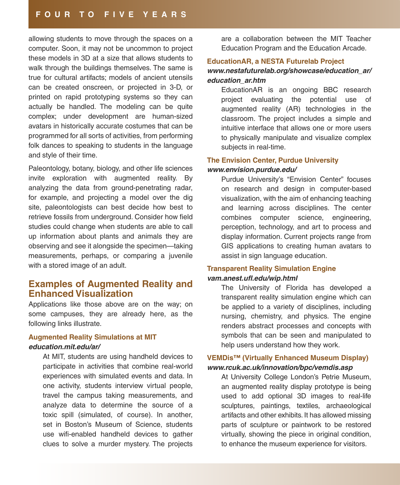#### **F O U R T O F I V E Y E A R S**

allowing students to move through the spaces on a computer. Soon, it may not be uncommon to project these models in 3D at a size that allows students to walk through the buildings themselves. The same is true for cultural artifacts; models of ancient utensils can be created onscreen, or projected in 3-D, or printed on rapid prototyping systems so they can actually be handled. The modeling can be quite complex; under development are human-sized avatars in historically accurate costumes that can be programmed for all sorts of activities, from performing folk dances to speaking to students in the language and style of their time.

Paleontology, botany, biology, and other life sciences invite exploration with augmented reality. By analyzing the data from ground-penetrating radar, for example, and projecting a model over the dig site, paleontologists can best decide how best to retrieve fossils from underground. Consider how field studies could change when students are able to call up information about plants and animals they are observing and see it alongside the specimen—taking measurements, perhaps, or comparing a juvenile with a stored image of an adult.

## **Examples of Augmented Reality and Enhanced Visualization**

Applications like those above are on the way; on some campuses, they are already here, as the following links illustrate.

#### **Augmented Reality Simulations at MIT [education.mit.edu/ar/](http://education.mit.edu/ar/)**

At MIT, students are using handheld devices to participate in activities that combine real-world experiences with simulated events and data. In one activity, students interview virtual people, travel the campus taking measurements, and analyze data to determine the source of a toxic spill (simulated, of course). In another, set in Boston's Museum of Science, students use wifi-enabled handheld devices to gather clues to solve a murder mystery. The projects

are a collaboration between the MIT Teacher Education Program and the Education Arcade.

#### **EducationAR, a NESTA Futurelab Project**

#### **[www.nestafuturelab.org/showcase/education\\_ar/](http://www.nestafuturelab.org/showcase/education_ar/education_ar.htm) [education\\_ar.htm](http://www.nestafuturelab.org/showcase/education_ar/education_ar.htm)**

EducationAR is an ongoing BBC research project evaluating the potential use of augmented reality (AR) technologies in the classroom. The project includes a simple and intuitive interface that allows one or more users to physically manipulate and visualize complex subjects in real-time.

#### **The Envision Center, Purdue University [www.envision.purdue.edu/](http://www.envision.purdue.edu/)**

Purdue University's "Envision Center" focuses on research and design in computer-based visualization, with the aim of enhancing teaching and learning across disciplines. The center combines computer science, engineering, perception, technology, and art to process and display information. Current projects range from GIS applications to creating human avatars to assist in sign language education.

#### **Transparent Reality Simulation Engine [vam.anest.ufl.edu/wip.html](http://vam.anest.ufl.edu/wip.html)**

The University of Florida has developed a transparent reality simulation engine which can be applied to a variety of disciplines, including nursing, chemistry, and physics. The engine renders abstract processes and concepts with symbols that can be seen and manipulated to help users understand how they work.

#### **VEMDis™ (Virtually Enhanced Museum Display) [www.rcuk.ac.uk/innovation/bpc/vemdis.asp](http://www.rcuk.ac.uk/innovation/bpc/vemdis.asp)**

At University College London's Petrie Museum, an augmented reality display prototype is being used to add optional 3D images to real-life sculptures, paintings, textiles, archaeological artifacts and other exhibits. It has allowed missing parts of sculpture or paintwork to be restored virtually, showing the piece in original condition, to enhance the museum experience for visitors.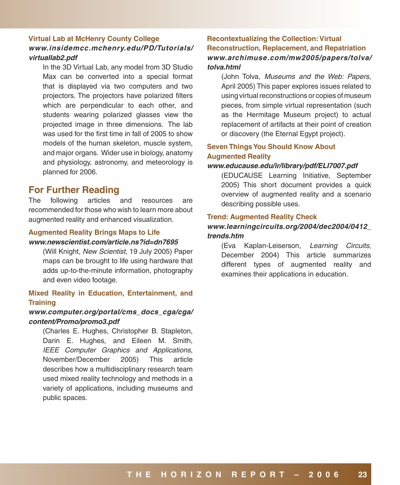### **Virtual Lab at McHenry County College [www.insidemcc.mchenry.edu/PD/Tutorials/](http://www.insidemcc.mchenry.edu/PD/Tutorials/virtuallab2.pdf) [virtuallab2.pdf](http://www.insidemcc.mchenry.edu/PD/Tutorials/virtuallab2.pdf)**

In the 3D Virtual Lab, any model from 3D Studio Max can be converted into a special format that is displayed via two computers and two projectors. The projectors have polarized filters which are perpendicular to each other, and students wearing polarized glasses view the projected image in three dimensions. The lab was used for the first time in fall of 2005 to show models of the human skeleton, muscle system, and major organs. Wider use in biology, anatomy and physiology, astronomy, and meteorology is planned for 2006.

## **For Further Reading**

The following articles and resources are recommended for those who wish to learn more about augmented reality and enhanced visualization.

#### **Augmented Reality Brings Maps to Life**

#### **[www.newscientist.com/article.ns?id=dn7695](http://www.newscientist.com/article.ns?id=dn7695)**

(Will Knight, New Scientist, 19 July 2005) Paper maps can be brought to life using hardware that adds up-to-the-minute information, photography and even video footage.

#### **Mixed Reality in Education, Entertainment, and Training**

#### **[www.computer.org/portal/cms\\_docs\\_cga/cga/](http://www.computer.org/portal/cms_docs_cga/cga/content/Promo/promo3.pdf) [content/Promo/promo3.pdf](http://www.computer.org/portal/cms_docs_cga/cga/content/Promo/promo3.pdf)**

(Charles E. Hughes, Christopher B. Stapleton, Darin E. Hughes, and Eileen M. Smith, IEEE Computer Graphics and Applications, November/December 2005) This article describes how a multidisciplinary research team used mixed reality technology and methods in a variety of applications, including museums and public spaces.

#### **Recontextualizing the Collection: Virtual Reconstruction, Replacement, and Repatriation [www.archimuse.com/mw2005/papers/tolva/](http://www.archimuse.com/mw2005/papers/tolva/tolva.html) [tolva.html](http://www.archimuse.com/mw2005/papers/tolva/tolva.html)**

(John Tolva, Museums and the Web: Papers, April 2005) This paper explores issues related to using virtual reconstructions or copies of museum pieces, from simple virtual representation (such as the Hermitage Museum project) to actual replacement of artifacts at their point of creation or discovery (the Eternal Egypt project).

#### **Seven Things You Should Know About Augmented Reality**

#### **[www.educause.edu/ir/library/pdf/ELI7007.pdf](http://www.educause.edu/ir/library/pdf/ELI7007.pdf)**

(EDUCAUSE Learning Initiative, September 2005) This short document provides a quick overview of augmented reality and a scenario describing possible uses.

#### **Trend: Augmented Reality Check**

#### **[www.learningcircuits.org/2004/dec2004/0412\\_](http://www.learningcircuits.org/2004/dec2004/0412_trends.htm) [trends.htm](http://www.learningcircuits.org/2004/dec2004/0412_trends.htm)**

(Eva Kaplan-Leiserson, Learning Circuits, December 2004) This article summarizes different types of augmented reality and examines their applications in education.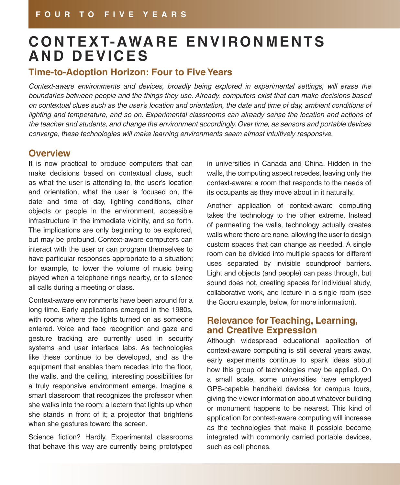## **C O N T E X T- AWA R E E N V I RO N M E N T S A N D D E V I C E S**

## **Time-to-Adoption Horizon: Four to Five Years**

Context-aware environments and devices, broadly being explored in experimental settings, will erase the boundaries between people and the things they use. Already, computers exist that can make decisions based on contextual clues such as the user's location and orientation, the date and time of day, ambient conditions of lighting and temperature, and so on. Experimental classrooms can already sense the location and actions of the teacher and students, and change the environment accordingly. Over time, as sensors and portable devices converge, these technologies will make learning environments seem almost intuitively responsive.

## **Overview**

It is now practical to produce computers that can make decisions based on contextual clues, such as what the user is attending to, the user's location and orientation, what the user is focused on, the date and time of day, lighting conditions, other objects or people in the environment, accessible infrastructure in the immediate vicinity, and so forth. The implications are only beginning to be explored, but may be profound. Context-aware computers can interact with the user or can program themselves to have particular responses appropriate to a situation; for example, to lower the volume of music being played when a telephone rings nearby, or to silence all calls during a meeting or class.

Context-aware environments have been around for a long time. Early applications emerged in the 1980s, with rooms where the lights turned on as someone entered. Voice and face recognition and gaze and gesture tracking are currently used in security systems and user interface labs. As technologies like these continue to be developed, and as the equipment that enables them recedes into the floor, the walls, and the ceiling, interesting possibilities for a truly responsive environment emerge. Imagine a smart classroom that recognizes the professor when she walks into the room; a lectern that lights up when she stands in front of it; a projector that brightens when she gestures toward the screen.

Science fiction? Hardly. Experimental classrooms that behave this way are currently being prototyped

in universities in Canada and China. Hidden in the walls, the computing aspect recedes, leaving only the context-aware: a room that responds to the needs of its occupants as they move about in it naturally.

Another application of context-aware computing takes the technology to the other extreme. Instead of permeating the walls, technology actually creates walls where there are none, allowing the user to design custom spaces that can change as needed. A single room can be divided into multiple spaces for different uses separated by invisible soundproof barriers. Light and objects (and people) can pass through, but sound does not, creating spaces for individual study, collaborative work, and lecture in a single room (see the Gooru example, below, for more information).

## **Relevance for Teaching, Learning, and Creative Expression**

Although widespread educational application of context-aware computing is still several years away, early experiments continue to spark ideas about how this group of technologies may be applied. On a small scale, some universities have employed GPS-capable handheld devices for campus tours, giving the viewer information about whatever building or monument happens to be nearest. This kind of application for context-aware computing will increase as the technologies that make it possible become integrated with commonly carried portable devices, such as cell phones.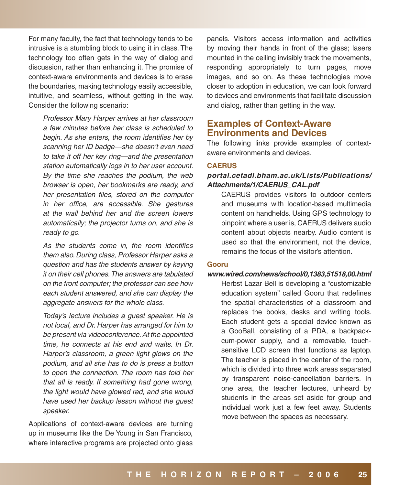For many faculty, the fact that technology tends to be intrusive is a stumbling block to using it in class. The technology too often gets in the way of dialog and discussion, rather than enhancing it. The promise of context-aware environments and devices is to erase the boundaries, making technology easily accessible, intuitive, and seamless, without getting in the way. Consider the following scenario:

Professor Mary Harper arrives at her classroom a few minutes before her class is scheduled to begin. As she enters, the room identifies her by scanning her ID badge—she doesn't even need to take it off her key ring—and the presentation station automatically logs in to her user account. By the time she reaches the podium, the web browser is open, her bookmarks are ready, and her presentation files, stored on the computer in her office, are accessible. She gestures at the wall behind her and the screen lowers automatically; the projector turns on, and she is ready to go.

As the students come in, the room identifies them also. During class, Professor Harper asks a question and has the students answer by keying it on their cell phones. The answers are tabulated on the front computer; the professor can see how each student answered, and she can display the aggregate answers for the whole class.

Today's lecture includes a guest speaker. He is not local, and Dr. Harper has arranged for him to be present via videoconference. At the appointed time, he connects at his end and waits. In Dr. Harper's classroom, a green light glows on the podium, and all she has to do is press a button to open the connection. The room has told her that all is ready. If something had gone wrong, the light would have glowed red, and she would have used her backup lesson without the guest speaker.

Applications of context-aware devices are turning up in museums like the De Young in San Francisco, where interactive programs are projected onto glass

panels. Visitors access information and activities by moving their hands in front of the glass; lasers mounted in the ceiling invisibly track the movements, responding appropriately to turn pages, move images, and so on. As these technologies move closer to adoption in education, we can look forward to devices and environments that facilitate discussion and dialog, rather than getting in the way.

## **Examples of Context-Aware Environments and Devices**

The following links provide examples of contextaware environments and devices.

#### **CAERUS**

#### **[portal.cetadl.bham.ac.uk/Lists/Publications/](http://portal.cetadl.bham.ac.uk/Lists/Publications/Attachments/1/CAERUS_CAL.pdf) [Attachments/1/CAERUS\\_CAL.pdf](http://portal.cetadl.bham.ac.uk/Lists/Publications/Attachments/1/CAERUS_CAL.pdf)**

CAERUS provides visitors to outdoor centers and museums with location-based multimedia content on handhelds. Using GPS technology to pinpoint where a user is, CAERUS delivers audio content about objects nearby. Audio content is used so that the environment, not the device, remains the focus of the visitor's attention.

#### **Gooru**

#### **[www.wired.com/news/school/0,1383,51518,00.html](http://www.wired.com/news/school/0,1383,51518,00.html)**

Herbst Lazar Bell is developing a "customizable education system" called Gooru that redefines the spatial characteristics of a classroom and replaces the books, desks and writing tools. Each student gets a special device known as a GooBall, consisting of a PDA, a backpackcum-power supply, and a removable, touchsensitive LCD screen that functions as laptop. The teacher is placed in the center of the room, which is divided into three work areas separated by transparent noise-cancellation barriers. In one area, the teacher lectures, unheard by students in the areas set aside for group and individual work just a few feet away. Students move between the spaces as necessary.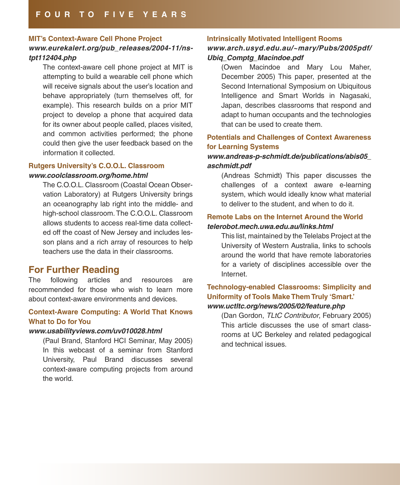#### **MIT's Context-Aware Cell Phone Project**

#### **[www.eurekalert.org/pub\\_releases/2004-11/ns](http://www.eurekalert.org/pub_releases/2004-11/ns-tpt112404.php)[tpt112404.php](http://www.eurekalert.org/pub_releases/2004-11/ns-tpt112404.php)**

The context-aware cell phone project at MIT is attempting to build a wearable cell phone which will receive signals about the user's location and behave appropriately (turn themselves off, for example). This research builds on a prior MIT project to develop a phone that acquired data for its owner about people called, places visited, and common activities performed; the phone could then give the user feedback based on the information it collected.

#### **Rutgers University's C.O.O.L. Classroom [www.coolclassroom.org/home.html](http://www.coolclassroom.org/home.html)**

The C.O.O.L. Classroom (Coastal Ocean Observation Laboratory) at Rutgers University brings an oceanography lab right into the middle- and high-school classroom. The C.O.O.L. Classroom allows students to access real-time data collected off the coast of New Jersey and includes lesson plans and a rich array of resources to help teachers use the data in their classrooms.

## **For Further Reading**

The following articles and resources are recommended for those who wish to learn more about context-aware environments and devices.

#### **Context-Aware Computing: A World That Knows What to Do for You**

#### **[www.usabilityviews.com/uv010028.html](http://www.usabilityviews.com/uv010028.html)**

(Paul Brand, Stanford HCI Seminar, May 2005) In this webcast of a seminar from Stanford University, Paul Brand discusses several context-aware computing projects from around the world.

#### **Intrinsically Motivated Intelligent Rooms**

#### **[www.arch.usyd.edu.au/~mary/Pubs/2005pdf/](http://www.arch.usyd.edu.au/~mary/Pubs/2005pdf/Ubiq_Comptg_Macindoe.pdf) [Ubiq\\_Comptg\\_Macindoe.pdf](http://www.arch.usyd.edu.au/~mary/Pubs/2005pdf/Ubiq_Comptg_Macindoe.pdf)**

(Owen Macindoe and Mary Lou Maher, December 2005) This paper, presented at the Second International Symposium on Ubiquitous Intelligence and Smart Worlds in Nagasaki, Japan, describes classrooms that respond and adapt to human occupants and the technologies that can be used to create them.

#### **Potentials and Challenges of Context Awareness for Learning Systems**

#### **[www.andreas-p-schmidt.de/publications/abis05\\_](http://www.andreas-p-schmidt.de/publications/abis05_aschmidt.pdf) [aschmidt.pdf](http://www.andreas-p-schmidt.de/publications/abis05_aschmidt.pdf)**

(Andreas Schmidt) This paper discusses the challenges of a context aware e-learning system, which would ideally know what material to deliver to the student, and when to do it.

#### **Remote Labs on the Internet Around the World [telerobot.mech.uwa.edu.au/links.html](http://telerobot.mech.uwa.edu.au/links.html)**

This list, maintained by the Telelabs Project at the University of Western Australia, links to schools around the world that have remote laboratories for a variety of disciplines accessible over the Internet.

#### **Technology-enabled Classrooms: Simplicity and Uniformity of Tools Make Them Truly 'Smart.' [www.uctltc.org/news/2005/02/feature.php](http://www.uctltc.org/news/2005/02/feature.php)**

(Dan Gordon, TLtC Contributor, February 2005) This article discusses the use of smart classrooms at UC Berkeley and related pedagogical and technical issues.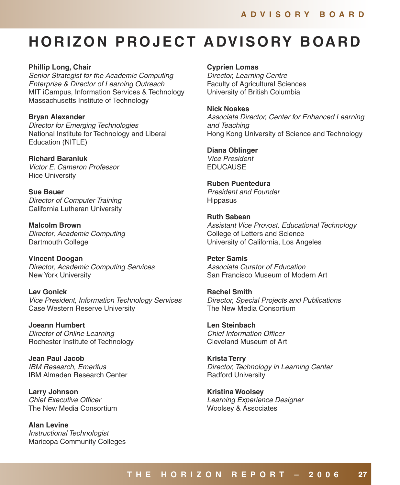## **H O R I Z O N P RO J E C T A DV I S O RY B OA R D**

**Phillip Long, Chair** Senior Strategist for the Academic Computing Enterprise & Director of Learning Outreach MIT iCampus, Information Services & Technology Massachusetts Institute of Technology

**Bryan Alexander**  Director for Emerging Technologies National Institute for Technology and Liberal Education (NITLE)

**Richard Baraniuk**  Victor E. Cameron Professor Rice University

**Sue Bauer**  Director of Computer Training California Lutheran University

**Malcolm Brown**  Director, Academic Computing Dartmouth College

**Vincent Doogan** Director, Academic Computing Services New York University

**Lev Gonick**  Vice President, Information Technology Services Case Western Reserve University

**Joeann Humbert**  Director of Online Learning Rochester Institute of Technology

**Jean Paul Jacob**  IBM Research, Emeritus IBM Almaden Research Center

**Larry Johnson**  Chief Executive Officer The New Media Consortium

**Alan Levine**  Instructional Technologist Maricopa Community Colleges **Cyprien Lomas** 

Director, Learning Centre Faculty of Agricultural Sciences University of British Columbia

**Nick Noakes**  Associate Director, Center for Enhanced Learning and Teaching Hong Kong University of Science and Technology

**Diana Oblinger**  Vice President **EDUCAUSE** 

**Ruben Puentedura**  President and Founder **Hippasus** 

**Ruth Sabean**  Assistant Vice Provost, Educational Technology College of Letters and Science University of California, Los Angeles

**Peter Samis**  Associate Curator of Education San Francisco Museum of Modern Art

**Rachel Smith**  Director, Special Projects and Publications The New Media Consortium

**Len Steinbach**  Chief Information Officer Cleveland Museum of Art

**Krista Terry**  Director, Technology in Learning Center Radford University

**Kristina Woolsey**  Learning Experience Designer Woolsey & Associates